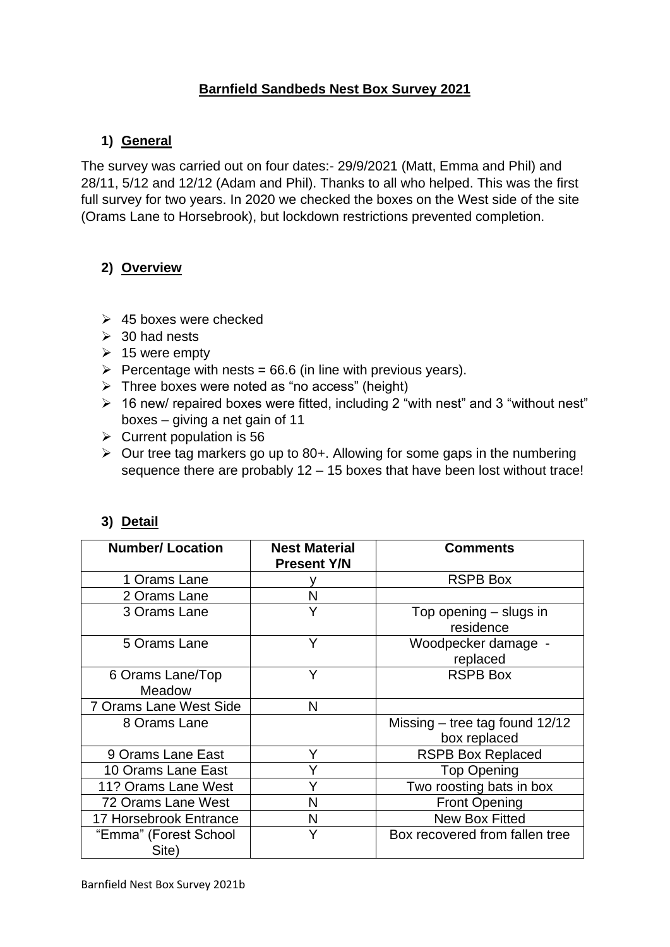## **Barnfield Sandbeds Nest Box Survey 2021**

# **1) General**

The survey was carried out on four dates:- 29/9/2021 (Matt, Emma and Phil) and 28/11, 5/12 and 12/12 (Adam and Phil). Thanks to all who helped. This was the first full survey for two years. In 2020 we checked the boxes on the West side of the site (Orams Lane to Horsebrook), but lockdown restrictions prevented completion.

## **2) Overview**

- $\geq$  45 boxes were checked
- $>$  30 had nests
- $\geq 15$  were empty
- $\triangleright$  Percentage with nests = 66.6 (in line with previous years).
- $\triangleright$  Three boxes were noted as "no access" (height)
- ➢ 16 new/ repaired boxes were fitted, including 2 "with nest" and 3 "without nest" boxes – giving a net gain of 11
- $\triangleright$  Current population is 56
- ➢ Our tree tag markers go up to 80+. Allowing for some gaps in the numbering sequence there are probably 12 – 15 boxes that have been lost without trace!

| <b>Number/ Location</b>        | <b>Nest Material</b><br><b>Present Y/N</b> | Comments                                         |
|--------------------------------|--------------------------------------------|--------------------------------------------------|
| 1 Orams Lane                   |                                            | <b>RSPB Box</b>                                  |
| 2 Orams Lane                   | N                                          |                                                  |
| 3 Orams Lane                   | Y                                          | Top opening - slugs in<br>residence              |
| 5 Orams Lane                   | Υ                                          | Woodpecker damage -<br>replaced                  |
| 6 Orams Lane/Top<br>Meadow     | Y                                          | <b>RSPB Box</b>                                  |
| 7 Orams Lane West Side         | N                                          |                                                  |
| 8 Orams Lane                   |                                            | Missing $-$ tree tag found 12/12<br>box replaced |
| 9 Orams Lane East              | Y                                          | <b>RSPB Box Replaced</b>                         |
| 10 Orams Lane East             | Y                                          | <b>Top Opening</b>                               |
| 11? Orams Lane West            | Y                                          | Two roosting bats in box                         |
| 72 Orams Lane West             | N                                          | <b>Front Opening</b>                             |
| 17 Horsebrook Entrance         | N                                          | <b>New Box Fitted</b>                            |
| "Emma" (Forest School<br>Site) | Υ                                          | Box recovered from fallen tree                   |

### **3) Detail**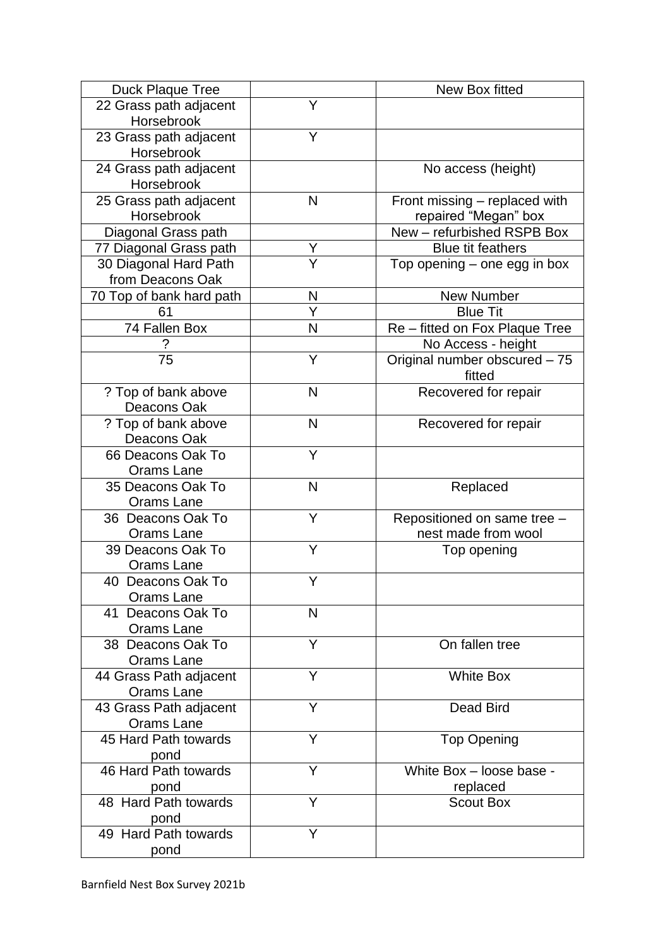| <b>Duck Plaque Tree</b>  |   | New Box fitted                 |
|--------------------------|---|--------------------------------|
| 22 Grass path adjacent   | Y |                                |
| Horsebrook               |   |                                |
| 23 Grass path adjacent   | Y |                                |
| Horsebrook               |   |                                |
| 24 Grass path adjacent   |   | No access (height)             |
| Horsebrook               |   |                                |
| 25 Grass path adjacent   | N | Front missing - replaced with  |
| Horsebrook               |   | repaired "Megan" box           |
| Diagonal Grass path      |   | New - refurbished RSPB Box     |
| 77 Diagonal Grass path   | Υ | <b>Blue tit feathers</b>       |
| 30 Diagonal Hard Path    | Υ | Top opening - one egg in box   |
| from Deacons Oak         |   |                                |
| 70 Top of bank hard path | N | <b>New Number</b>              |
| 61                       | Y | <b>Blue Tit</b>                |
| 74 Fallen Box            | N | Re – fitted on Fox Plaque Tree |
|                          |   | No Access - height             |
| 75                       | Y | Original number obscured - 75  |
|                          |   | fitted                         |
| ? Top of bank above      | N | Recovered for repair           |
| Deacons Oak              |   |                                |
| ? Top of bank above      | N | Recovered for repair           |
| Deacons Oak              |   |                                |
| 66 Deacons Oak To        | Y |                                |
| Orams Lane               |   |                                |
| 35 Deacons Oak To        | N | Replaced                       |
| Orams Lane               |   |                                |
| 36 Deacons Oak To        | Y | Repositioned on same tree -    |
| Orams Lane               |   | nest made from wool            |
| 39 Deacons Oak To        | Y | Top opening                    |
| Orams Lane               |   |                                |
| 40 Deacons Oak To        | Y |                                |
| Orams Lane               |   |                                |
| 41 Deacons Oak To        | N |                                |
| Orams Lane               |   |                                |
| 38 Deacons Oak To        | Y | On fallen tree                 |
| Orams Lane               |   |                                |
| 44 Grass Path adjacent   | Y | <b>White Box</b>               |
| Orams Lane               |   |                                |
| 43 Grass Path adjacent   | Y | <b>Dead Bird</b>               |
| <b>Orams Lane</b>        |   |                                |
| 45 Hard Path towards     | Y | <b>Top Opening</b>             |
| pond                     |   |                                |
| 46 Hard Path towards     | Y | White Box - loose base -       |
| pond                     |   | replaced                       |
| 48 Hard Path towards     | Y | <b>Scout Box</b>               |
| pond                     |   |                                |
| 49 Hard Path towards     | Y |                                |
| pond                     |   |                                |